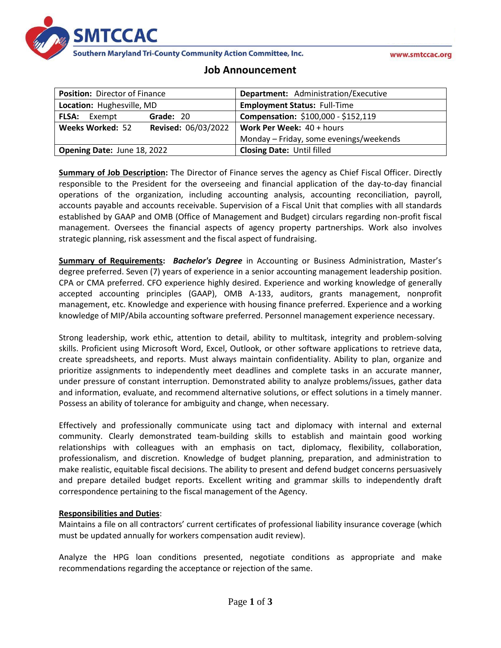

# **Job Announcement**

| <b>Position: Director of Finance</b>           | <b>Department:</b> Administration/Executive |
|------------------------------------------------|---------------------------------------------|
| Location: Hughesville, MD                      | <b>Employment Status: Full-Time</b>         |
| Grade: 20<br>Exempt<br><b>FLSA:</b>            | Compensation: \$100,000 - \$152,119         |
| <b>Revised: 06/03/2022</b><br>Weeks Worked: 52 | Work Per Week: 40 + hours                   |
|                                                | Monday - Friday, some evenings/weekends     |
| Opening Date: June 18, 2022                    | <b>Closing Date: Until filled</b>           |

**Summary of Job Description:** The Director of Finance serves the agency as Chief Fiscal Officer. Directly responsible to the President for the overseeing and financial application of the day-to-day financial operations of the organization, including accounting analysis, accounting reconciliation, payroll, accounts payable and accounts receivable. Supervision of a Fiscal Unit that complies with all standards established by GAAP and OMB (Office of Management and Budget) circulars regarding non-profit fiscal management. Oversees the financial aspects of agency property partnerships. Work also involves strategic planning, risk assessment and the fiscal aspect of fundraising.

**Summary of Requirements:** *Bachelor's Degree* in Accounting or Business Administration, Master's degree preferred. Seven (7) years of experience in a senior accounting management leadership position. CPA or CMA preferred. CFO experience highly desired. Experience and working knowledge of generally accepted accounting principles (GAAP), OMB A-133, auditors, grants management, nonprofit management, etc. Knowledge and experience with housing finance preferred. Experience and a working knowledge of MIP/Abila accounting software preferred. Personnel management experience necessary.

Strong leadership, work ethic, attention to detail, ability to multitask, integrity and problem-solving skills. Proficient using Microsoft Word, Excel, Outlook, or other software applications to retrieve data, create spreadsheets, and reports. Must always maintain confidentiality. Ability to plan, organize and prioritize assignments to independently meet deadlines and complete tasks in an accurate manner, under pressure of constant interruption. Demonstrated ability to analyze problems/issues, gather data and information, evaluate, and recommend alternative solutions, or effect solutions in a timely manner. Possess an ability of tolerance for ambiguity and change, when necessary.

Effectively and professionally communicate using tact and diplomacy with internal and external community. Clearly demonstrated team-building skills to establish and maintain good working relationships with colleagues with an emphasis on tact, diplomacy, flexibility, collaboration, professionalism, and discretion. Knowledge of budget planning, preparation, and administration to make realistic, equitable fiscal decisions. The ability to present and defend budget concerns persuasively and prepare detailed budget reports. Excellent writing and grammar skills to independently draft correspondence pertaining to the fiscal management of the Agency.

## **Responsibilities and Duties**:

Maintains a file on all contractors' current certificates of professional liability insurance coverage (which must be updated annually for workers compensation audit review).

Analyze the HPG loan conditions presented, negotiate conditions as appropriate and make recommendations regarding the acceptance or rejection of the same.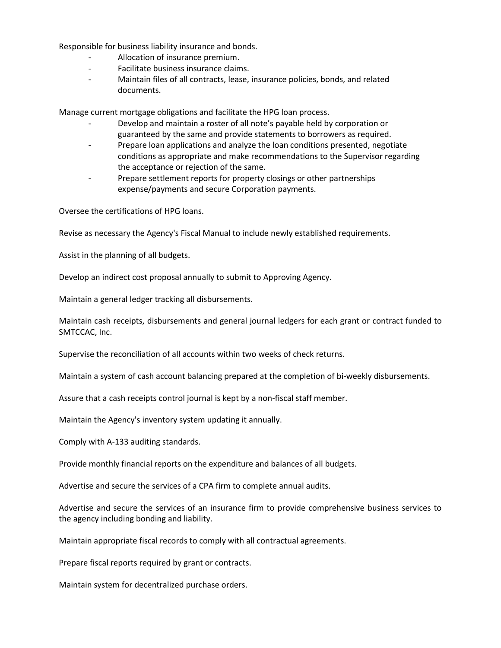Responsible for business liability insurance and bonds.

- Allocation of insurance premium.
- Facilitate business insurance claims.
- Maintain files of all contracts, lease, insurance policies, bonds, and related documents.

Manage current mortgage obligations and facilitate the HPG loan process.

- Develop and maintain a roster of all note's payable held by corporation or guaranteed by the same and provide statements to borrowers as required.
- Prepare loan applications and analyze the loan conditions presented, negotiate conditions as appropriate and make recommendations to the Supervisor regarding the acceptance or rejection of the same.
- Prepare settlement reports for property closings or other partnerships expense/payments and secure Corporation payments.

Oversee the certifications of HPG loans.

Revise as necessary the Agency's Fiscal Manual to include newly established requirements.

Assist in the planning of all budgets.

Develop an indirect cost proposal annually to submit to Approving Agency.

Maintain a general ledger tracking all disbursements.

Maintain cash receipts, disbursements and general journal ledgers for each grant or contract funded to SMTCCAC, Inc.

Supervise the reconciliation of all accounts within two weeks of check returns.

Maintain a system of cash account balancing prepared at the completion of bi-weekly disbursements.

Assure that a cash receipts control journal is kept by a non-fiscal staff member.

Maintain the Agency's inventory system updating it annually.

Comply with A-133 auditing standards.

Provide monthly financial reports on the expenditure and balances of all budgets.

Advertise and secure the services of a CPA firm to complete annual audits.

Advertise and secure the services of an insurance firm to provide comprehensive business services to the agency including bonding and liability.

Maintain appropriate fiscal records to comply with all contractual agreements.

Prepare fiscal reports required by grant or contracts.

Maintain system for decentralized purchase orders.